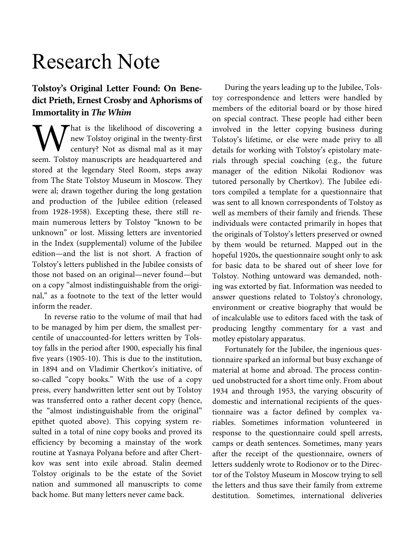# Research Note

# **Tolstoy's Original Letter Found: On Benedict Prieth, Ernest Crosby and Aphorisms of Immortality in** *The Whim*

That is the likelihood of discovering a new Tolstoy original in the twenty-first century? Not as dismal mal as it may **Solution** Tolstoy original in the twenty-first century? Not as dismal mal as it may seem. Tolstoy manuscripts are headquartered and stored at the legendary Steel Room, steps away from The State Tolstoy Museum in Moscow. They were al; drawn together during the long gestation and production of the Jubilee edition (released from 1928-1958). Excepting these, there still remain numerous letters by Tolstoy "known to be unknown" or lost. Missing letters are inventoried in the Index (supplemental) volume of the Jubilee edition—and the list is not short. A fraction of Tolstoy's letters published in the Jubilee consists of those not based on an original—never found—but on a copy "almost indistinguishable from the original," as a footnote to the text of the letter would inform the reader.

In reverse ratio to the volume of mail that had to be managed by him per diem, the smallest percentile of unaccounted-for letters written by Tolstoy falls in the period after 1900, especially his final five years (1905-10). This is due to the institution, in 1894 and on Vladimir Chertkov's initiative, of so-called "copy books." With the use of a copy press, every handwritten letter sent out by Tolstoy was transferred onto a rather decent copy (hence, the "almost indistinguishable from the original" epithet quoted above). This copying system resulted in a total of nine copy books and proved its efficiency by becoming a mainstay of the work routine at Yasnaya Polyana before and after Chertkov was sent into exile abroad. Stalin deemed Tolstoy originals to be the estate of the Soviet nation and summoned all manuscripts to come back home. But many letters never came back.

During the years leading up to the Jubilee, Tolstoy correspondence and letters were handled by members of the editorial board or by those hired on special contract. These people had either been involved in the letter copying business during Tolstoy's lifetime, or else were made privy to all details for working with Tolstoy's epistolary materials through special coaching (e.g., the future manager of the edition Nikolai Rodionov was tutored personally by Chertkov). The Jubilee editors compiled a template for a questionnaire that was sent to all known correspondents of Tolstoy as well as members of their family and friends. These individuals were contacted primarily in hopes that the originals of Tolstoy's letters preserved or owned by them would be returned. Mapped out in the hopeful 1920s, the questionnaire sought only to ask for basic data to be shared out of sheer love for Tolstoy. Nothing untoward was demanded, nothing was extorted by fiat. Information was needed to answer questions related to Tolstoy's chronology, environment or creative biography that would be of incalculable use to editors faced with the task of producing lengthy commentary for a vast and motley epistolary apparatus.

Fortunately for the Jubilee, the ingenious questionnaire sparked an informal but busy exchange of material at home and abroad. The process continued unobstructed for a short time only. From about 1934 and through 1953, the varying obscurity of domestic and international recipients of the questionnaire was a factor defined by complex variables. Sometimes information volunteered in response to the questionnaire could spell arrests, camps or death sentences. Sometimes, many years after the receipt of the questionnaire, owners of letters suddenly wrote to Rodionov or to the Director of the Tolstoy Museum in Moscow trying to sell the letters and thus save their family from extreme destitution. Sometimes, international deliveries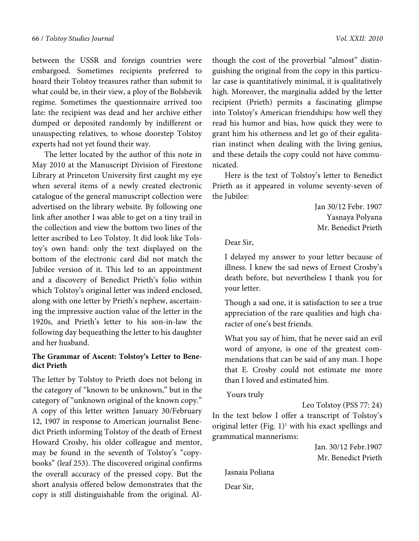between the USSR and foreign countries were embargoed. Sometimes recipients preferred to hoard their Tolstoy treasures rather than submit to what could be, in their view, a ploy of the Bolshevik regime. Sometimes the questionnaire arrived too late: the recipient was dead and her archive either dumped or deposited randomly by indifferent or unsuspecting relatives, to whose doorstep Tolstoy experts had not yet found their way.

The letter located by the author of this note in May 2010 at the Manuscript Division of Firestone Library at Princeton University first caught my eye when several items of a newly created electronic catalogue of the general manuscript collection were advertised on the library website. By following one link after another I was able to get on a tiny trail in the collection and view the bottom two lines of the letter ascribed to Leo Tolstoy. It did look like Tolstoy's own hand: only the text displayed on the bottom of the electronic card did not match the Jubilee version of it. This led to an appointment and a discovery of Benedict Prieth's folio within which Tolstoy's original letter was indeed enclosed, along with one letter by Prieth's nephew, ascertaining the impressive auction value of the letter in the 1920s, and Prieth's letter to his son-in-law the following day bequeathing the letter to his daughter and her husband.

### **The Grammar of Ascent: Tolstoy's Letter to Benedict Prieth**

The letter by Tolstoy to Prieth does not belong in the category of "known to be unknown," but in the category of "unknown original of the known copy." A copy of this letter written January 30/February 12, 1907 in response to American journalist Benedict Prieth informing Tolstoy of the death of Ernest Howard Crosby, his older colleague and mentor, may be found in the seventh of Tolstoy's "copybooks" (leaf 253). The discovered original confirms the overall accuracy of the pressed copy. But the short analysis offered below demonstrates that the copy is still distinguishable from the original. Although the cost of the proverbial "almost" distinguishing the original from the copy in this particular case is quantitatively minimal, it is qualitatively high. Moreover, the marginalia added by the letter recipient (Prieth) permits a fascinating glimpse into Tolstoy's American friendships: how well they read his humor and bias, how quick they were to grant him his otherness and let go of their egalitarian instinct when dealing with the living genius, and these details the copy could not have communicated.

Here is the text of Tolstoy's letter to Benedict Prieth as it appeared in volume seventy-seven of the Jubilee:

> Jan 30/12 Febr. 1907 Yasnaya Polyana Mr. Benedict Prieth

Dear Sir,

I delayed my answer to your letter because of illness. I knew the sad news of Ernest Crosby's death before, but nevertheless I thank you for your letter.

Though a sad one, it is satisfaction to see a true appreciation of the rare qualities and high character of one's best friends.

What you say of him, that he never said an evil word of anyone, is one of the greatest commendations that can be said of any man. I hope that E. Crosby could not estimate me more than I loved and estimated him.

Yours truly

Leo Tolstoy (PSS 77: 24)

In the text below I offer a transcript of Tolstoy's original letter (Fig.  $1$ )<sup>1</sup> with his exact spellings and grammatical mannerisms:

> Jan. 30/12 Febr.1907 Mr. Benedict Prieth

Jasnaia Poliana Dear Sir,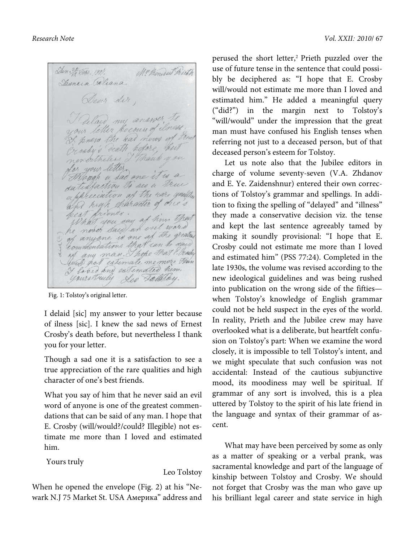Mr Beneut Frist San 3/4 Det. 190%, Gasnaca Galcana. Dear dir, Delais my answer, to your letter become of ilness I knew the sal news of Eines Trosby's death before, but dor your letter Phangh a Lad one it is a appreciation of the ware grande and high character of one's feeat friends. beat priends.<br>What you say of him that What you say a number & on any man. Those that I Crashy Cloud not estimate me more than I laved and estemated him.

Fig. 1: Tolstoy's original letter.

I delaid [sic] my answer to your letter because of ilness [sic]. I knew the sad news of Ernest Crosby's death before, but nevertheless I thank you for your letter.

Though a sad one it is a satisfaction to see a true appreciation of the rare qualities and high character of one's best friends.

What you say of him that he never said an evil word of anyone is one of the greatest commendations that can be said of any man. I hope that E. Crosby (will/would?/could? Illegible) not estimate me more than I loved and estimated him.

Yours truly

Leo Tolstoy

When he opened the envelope (Fig. 2) at his "Newark N.J 75 Market St. USA Америка" address and perused the short letter,<sup>2</sup> Prieth puzzled over the use of future tense in the sentence that could possibly be deciphered as: "I hope that E. Crosby will/would not estimate me more than I loved and estimated him." He added a meaningful query ("did?") in the margin next to Tolstoy's "will/would" under the impression that the great man must have confused his English tenses when referring not just to a deceased person, but of that deceased person's esteem for Tolstoy.

Let us note also that the Jubilee editors in charge of volume seventy-seven (V.A. Zhdanov and E. Ye. Zaidenshnur) entered their own corrections of Tolstoy's grammar and spellings. In addition to fixing the spelling of "delayed" and "illness" they made a conservative decision viz. the tense and kept the last sentence agreeably tamed by making it soundly provisional: "I hope that E. Crosby could not estimate me more than I loved and estimated him" (PSS 77:24). Completed in the late 1930s, the volume was revised according to the new ideological guidelines and was being rushed into publication on the wrong side of the fifties when Tolstoy's knowledge of English grammar could not be held suspect in the eyes of the world. In reality, Prieth and the Jubilee crew may have overlooked what is a deliberate, but heartfelt confusion on Tolstoy's part: When we examine the word closely, it is impossible to tell Tolstoy's intent, and we might speculate that such confusion was not accidental: Instead of the cautious subjunctive mood, its moodiness may well be spiritual. If grammar of any sort is involved, this is a plea uttered by Tolstoy to the spirit of his late friend in the language and syntax of their grammar of ascent.

What may have been perceived by some as only as a matter of speaking or a verbal prank, was sacramental knowledge and part of the language of kinship between Tolstoy and Crosby. We should not forget that Crosby was the man who gave up his brilliant legal career and state service in high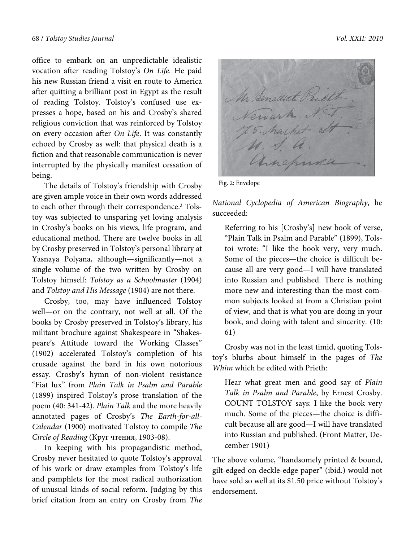office to embark on an unpredictable idealistic vocation after reading Tolstoy's On Life. He paid his new Russian friend a visit en route to America after quitting a brilliant post in Egypt as the result of reading Tolstoy. Tolstoy's confused use expresses a hope, based on his and Crosby's shared religious conviction that was reinforced by Tolstoy on every occasion after On Life. It was constantly echoed by Crosby as well: that physical death is a fiction and that reasonable communication is never interrupted by the physically manifest cessation of being.

The details of Tolstoy's friendship with Crosby are given ample voice in their own words addressed to each other through their correspondence.<sup>3</sup> Tolstoy was subjected to unsparing yet loving analysis in Crosby's books on his views, life program, and educational method. There are twelve books in all by Crosby preserved in Tolstoy's personal library at Yasnaya Polyana, although—significantly—not a single volume of the two written by Crosby on Tolstoy himself: Tolstoy as a Schoolmaster (1904) and Tolstoy and His Message (1904) are not there.

Crosby, too, may have influenced Tolstoy well—or on the contrary, not well at all. Of the books by Crosby preserved in Tolstoy's library, his militant brochure against Shakespeare in "Shakespeare's Attitude toward the Working Classes" (1902) accelerated Tolstoy's completion of his crusade against the bard in his own notorious essay. Crosby's hymn of non-violent resistance "Fiat lux" from Plain Talk in Psalm and Parable (1899) inspired Tolstoy's prose translation of the poem (40: 341-42). Plain Talk and the more heavily annotated pages of Crosby's The Earth-for-all-Calendar (1900) motivated Tolstoy to compile The Circle of Reading (Круг чтения, 1903-08).

In keeping with his propagandistic method, Crosby never hesitated to quote Tolstoy's approval of his work or draw examples from Tolstoy's life and pamphlets for the most radical authorization of unusual kinds of social reform. Judging by this brief citation from an entry on Crosby from The

Mr. Benedict Newark.  $\sqrt{ }$ Anehun

Fig. 2: Envelope

National Cyclopedia of American Biography, he succeeded:

Referring to his [Crosby's] new book of verse, "Plain Talk in Psalm and Parable" (1899), Tolstoi wrote: "I like the book very, very much. Some of the pieces—the choice is difficult because all are very good—I will have translated into Russian and published. There is nothing more new and interesting than the most common subjects looked at from a Christian point of view, and that is what you are doing in your book, and doing with talent and sincerity. (10: 61)

Crosby was not in the least timid, quoting Tolstoy's blurbs about himself in the pages of The Whim which he edited with Prieth:

Hear what great men and good say of Plain Talk in Psalm and Parable, by Ernest Crosby. COUNT TOLSTOY says: I like the book very much. Some of the pieces—the choice is difficult because all are good—I will have translated into Russian and published. (Front Matter, December 1901)

The above volume, "handsomely printed & bound, gilt-edged on deckle-edge paper" (ibid.) would not have sold so well at its \$1.50 price without Tolstoy's endorsement.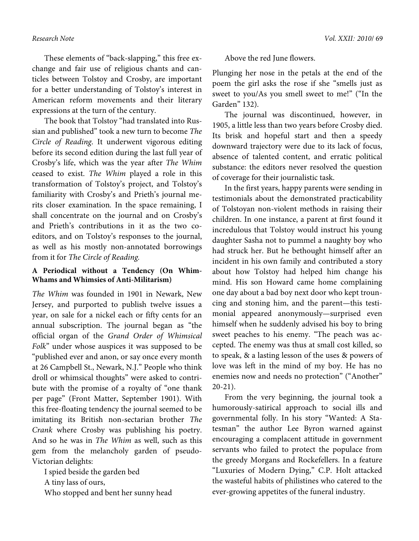These elements of "back-slapping," this free exchange and fair use of religious chants and canticles between Tolstoy and Crosby, are important for a better understanding of Tolstoy's interest in American reform movements and their literary expressions at the turn of the century.

The book that Tolstoy "had translated into Russian and published" took a new turn to become The Circle of Reading. It underwent vigorous editing before its second edition during the last full year of Crosby's life, which was the year after The Whim ceased to exist. The Whim played a role in this transformation of Tolstoy's project, and Tolstoy's familiarity with Crosby's and Prieth's journal merits closer examination. In the space remaining, I shall concentrate on the journal and on Crosby's and Prieth's contributions in it as the two coeditors, and on Tolstoy's responses to the journal, as well as his mostly non-annotated borrowings from it for The Circle of Reading.

# **A Periodical without a Tendency (On Whim-Whams and Whimsies of Anti-Militarism)**

The Whim was founded in 1901 in Newark, New Jersey, and purported to publish twelve issues a year, on sale for a nickel each or fifty cents for an annual subscription. The journal began as "the official organ of the Grand Order of Whimsical Folk" under whose auspices it was supposed to be "published ever and anon, or say once every month at 26 Campbell St., Newark, N.J." People who think droll or whimsical thoughts" were asked to contribute with the promise of a royalty of "one thank per page" (Front Matter, September 1901). With this free-floating tendency the journal seemed to be imitating its British non-sectarian brother The Crank where Crosby was publishing his poetry. And so he was in The Whim as well, such as this gem from the melancholy garden of pseudo-Victorian delights:

I spied beside the garden bed A tiny lass of ours, Who stopped and bent her sunny head

### Above the red June flowers.

Plunging her nose in the petals at the end of the poem the girl asks the rose if she "smells just as sweet to you/As you smell sweet to me!" ("In the Garden" 132).

The journal was discontinued, however, in 1905, a little less than two years before Crosby died. Its brisk and hopeful start and then a speedy downward trajectory were due to its lack of focus, absence of talented content, and erratic political substance: the editors never resolved the question of coverage for their journalistic task.

In the first years, happy parents were sending in testimonials about the demonstrated practicability of Tolstoyan non-violent methods in raising their children. In one instance, a parent at first found it incredulous that Tolstoy would instruct his young daughter Sasha not to pummel a naughty boy who had struck her. But he bethought himself after an incident in his own family and contributed a story about how Tolstoy had helped him change his mind. His son Howard came home complaining one day about a bad boy next door who kept trouncing and stoning him, and the parent—this testimonial appeared anonymously—surprised even himself when he suddenly advised his boy to bring sweet peaches to his enemy. "The peach was accepted. The enemy was thus at small cost killed, so to speak, & a lasting lesson of the uses & powers of love was left in the mind of my boy. He has no enemies now and needs no protection" ("Another" 20-21).

From the very beginning, the journal took a humorously-satirical approach to social ills and governmental folly. In his story "Wanted: A Statesman" the author Lee Byron warned against encouraging a complacent attitude in government servants who failed to protect the populace from the greedy Morgans and Rockefellers. In a feature "Luxuries of Modern Dying," C.P. Holt attacked the wasteful habits of philistines who catered to the ever-growing appetites of the funeral industry.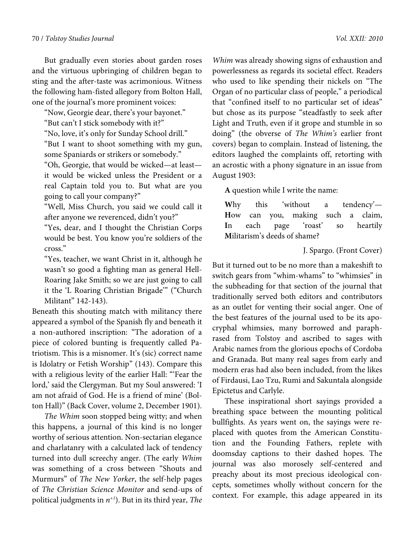But gradually even stories about garden roses and the virtuous upbringing of children began to sting and the after-taste was acrimonious. Witness the following ham-fisted allegory from Bolton Hall, one of the journal's more prominent voices:

"Now, Georgie dear, there's your bayonet."

"But can't I stick somebody with it?"

"No, love, it's only for Sunday School drill."

"But I want to shoot something with my gun, some Spaniards or strikers or somebody."

"Oh, Georgie, that would be wicked—at least it would be wicked unless the President or a real Captain told you to. But what are you going to call your company?"

"Well, Miss Church, you said we could call it after anyone we reverenced, didn't you?"

"Yes, dear, and I thought the Christian Corps would be best. You know you're soldiers of the cross."

"Yes, teacher, we want Christ in it, although he wasn't so good a fighting man as general Hell-Roaring Jake Smith; so we are just going to call it the 'L Roaring Christian Brigade'" ("Church Militant" 142-143).

Beneath this shouting match with militancy there appeared a symbol of the Spanish fly and beneath it a non-authored inscription: "The adoration of a piece of colored bunting is frequently called Patriotism. This is a misnomer. It's (sic) correct name is Idolatry or Fetish Worship" (143). Compare this with a religious levity of the earlier Hall: "'Fear the lord,' said the Clergyman. But my Soul answered: 'I am not afraid of God. He is a friend of mine' (Bolton Hall)" (Back Cover, volume 2, December 1901).

The Whim soon stopped being witty; and when this happens, a journal of this kind is no longer worthy of serious attention. Non-sectarian elegance and charlatanry with a calculated lack of tendency turned into dull screechy anger. (The early Whim was something of a cross between "Shouts and Murmurs" of The New Yorker, the self-help pages of The Christian Science Monitor and send-ups of political judgments in  $n^{+1}$ ). But in its third year, The

Whim was already showing signs of exhaustion and powerlessness as regards its societal effect. Readers who used to like spending their nickels on "The Organ of no particular class of people," a periodical that "confined itself to no particular set of ideas" but chose as its purpose "steadfastly to seek after Light and Truth, even if it grope and stumble in so doing" (the obverse of The Whim's earlier front covers) began to complain. Instead of listening, the editors laughed the complaints off, retorting with an acrostic with a phony signature in an issue from August 1903:

**A** question while I write the name:

**W**hy this 'without a tendency'— **H**ow can you, making such a claim, **I**n each page 'roast' so heartily **M**ilitarism's deeds of shame?

J. Spargo. (Front Cover)

But it turned out to be no more than a makeshift to switch gears from "whim-whams" to "whimsies" in the subheading for that section of the journal that traditionally served both editors and contributors as an outlet for venting their social anger. One of the best features of the journal used to be its apocryphal whimsies, many borrowed and paraphrased from Tolstoy and ascribed to sages with Arabic names from the glorious epochs of Cordoba and Granada. But many real sages from early and modern eras had also been included, from the likes of Firdausi, Lao Tzu, Rumi and Sakuntala alongside Epictetus and Carlyle.

These inspirational short sayings provided a breathing space between the mounting political bullfights. As years went on, the sayings were replaced with quotes from the American Constitution and the Founding Fathers, replete with doomsday captions to their dashed hopes. The journal was also morosely self-centered and preachy about its most precious ideological concepts, sometimes wholly without concern for the context. For example, this adage appeared in its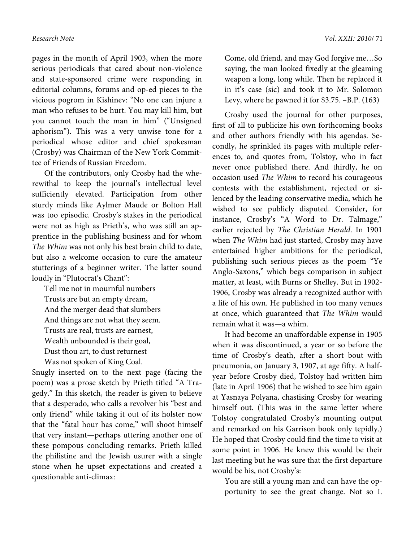pages in the month of April 1903, when the more serious periodicals that cared about non-violence and state-sponsored crime were responding in editorial columns, forums and op-ed pieces to the vicious pogrom in Kishinev: "No one can injure a man who refuses to be hurt. You may kill him, but you cannot touch the man in him" ("Unsigned aphorism"). This was a very unwise tone for a periodical whose editor and chief spokesman (Crosby) was Chairman of the New York Committee of Friends of Russian Freedom.

Of the contributors, only Crosby had the wherewithal to keep the journal's intellectual level sufficiently elevated. Participation from other sturdy minds like Aylmer Maude or Bolton Hall was too episodic. Crosby's stakes in the periodical were not as high as Prieth's, who was still an apprentice in the publishing business and for whom The Whim was not only his best brain child to date, but also a welcome occasion to cure the amateur stutterings of a beginner writer. The latter sound loudly in "Plutocrat's Chant":

Tell me not in mournful numbers Trusts are but an empty dream, And the merger dead that slumbers And things are not what they seem. Trusts are real, trusts are earnest, Wealth unbounded is their goal, Dust thou art, to dust returnest Was not spoken of King Coal.

Snugly inserted on to the next page (facing the poem) was a prose sketch by Prieth titled "A Tragedy." In this sketch, the reader is given to believe that a desperado, who calls a revolver his "best and only friend" while taking it out of its holster now that the "fatal hour has come," will shoot himself that very instant—perhaps uttering another one of these pompous concluding remarks. Prieth killed the philistine and the Jewish usurer with a single stone when he upset expectations and created a questionable anti-climax:

Come, old friend, and may God forgive me…So saying, the man looked fixedly at the gleaming weapon a long, long while. Then he replaced it in it's case (sic) and took it to Mr. Solomon Levy, where he pawned it for \$3.75. –B.P. (163)

Crosby used the journal for other purposes, first of all to publicize his own forthcoming books and other authors friendly with his agendas. Secondly, he sprinkled its pages with multiple references to, and quotes from, Tolstoy, who in fact never once published there. And thirdly, he on occasion used The Whim to record his courageous contests with the establishment, rejected or silenced by the leading conservative media, which he wished to see publicly disputed. Consider, for instance, Crosby's "A Word to Dr. Talmage," earlier rejected by The Christian Herald. In 1901 when The Whim had just started, Crosby may have entertained higher ambitions for the periodical, publishing such serious pieces as the poem "Ye Anglo-Saxons," which begs comparison in subject matter, at least, with Burns or Shelley. But in 1902- 1906, Crosby was already a recognized author with a life of his own. He published in too many venues at once, which guaranteed that The Whim would remain what it was—a whim.

It had become an unaffordable expense in 1905 when it was discontinued, a year or so before the time of Crosby's death, after a short bout with pneumonia, on January 3, 1907, at age fifty. A halfyear before Crosby died, Tolstoy had written him (late in April 1906) that he wished to see him again at Yasnaya Polyana, chastising Crosby for wearing himself out. (This was in the same letter where Tolstoy congratulated Crosby's mounting output and remarked on his Garrison book only tepidly.) He hoped that Crosby could find the time to visit at some point in 1906. He knew this would be their last meeting but he was sure that the first departure would be his, not Crosby's:

You are still a young man and can have the opportunity to see the great change. Not so I.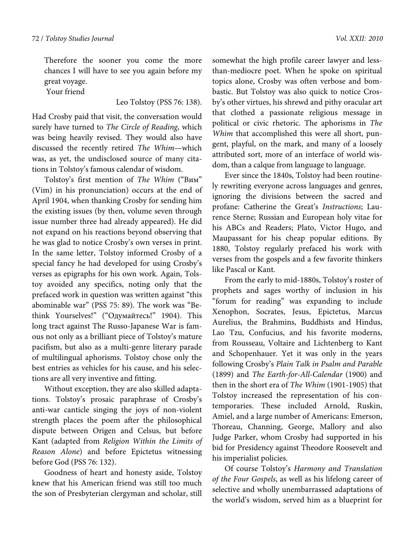Therefore the sooner you come the more chances I will have to see you again before my great voyage.

Your friend

Leo Tolstoy (PSS 76: 138).

Had Crosby paid that visit, the conversation would surely have turned to The Circle of Reading, which was being heavily revised. They would also have discussed the recently retired The Whim—which was, as yet, the undisclosed source of many citations in Tolstoy's famous calendar of wisdom.

Tolstoy's first mention of The Whim ("Вим" (Vim) in his pronunciation) occurs at the end of April 1904, when thanking Crosby for sending him the existing issues (by then, volume seven through issue number three had already appeared). He did not expand on his reactions beyond observing that he was glad to notice Crosby's own verses in print. In the same letter, Tolstoy informed Crosby of a special fancy he had developed for using Crosby's verses as epigraphs for his own work. Again, Tolstoy avoided any specifics, noting only that the prefaced work in question was written against "this abominable war" (PSS 75: 89). The work was "Bethink Yourselves!" ("Одумайтесь!" 1904). This long tract against The Russo-Japanese War is famous not only as a brilliant piece of Tolstoy's mature pacifism, but also as a multi-genre literary parade of multilingual aphorisms. Tolstoy chose only the best entries as vehicles for his cause, and his selections are all very inventive and fitting.

Without exception, they are also skilled adaptations. Tolstoy's prosaic paraphrase of Crosby's anti-war canticle singing the joys of non-violent strength places the poem after the philosophical dispute between Origen and Celsus, but before Kant (adapted from Religion Within the Limits of Reason Alone) and before Epictetus witnessing before God (PSS 76: 132).

Goodness of heart and honesty aside, Tolstoy knew that his American friend was still too much the son of Presbyterian clergyman and scholar, still

somewhat the high profile career lawyer and lessthan-mediocre poet. When he spoke on spiritual topics alone, Crosby was often verbose and bombastic. But Tolstoy was also quick to notice Crosby's other virtues, his shrewd and pithy oracular art that clothed a passionate religious message in political or civic rhetoric. The aphorisms in The Whim that accomplished this were all short, pungent, playful, on the mark, and many of a loosely attributed sort, more of an interface of world wisdom, than a calque from language to language.

Ever since the 1840s, Tolstoy had been routinely rewriting everyone across languages and genres, ignoring the divisions between the sacred and profane: Catherine the Great's Instructions; Laurence Sterne; Russian and European holy vitae for his ABCs and Readers; Plato, Victor Hugo, and Maupassant for his cheap popular editions. By 1880, Tolstoy regularly prefaced his work with verses from the gospels and a few favorite thinkers like Pascal or Kant.

From the early to mid-1880s, Tolstoy's roster of prophets and sages worthy of inclusion in his "forum for reading" was expanding to include Xenophon, Socrates, Jesus, Epictetus, Marcus Aurelius, the Brahmins, Buddhists and Hindus, Lao Tzu, Confucius, and his favorite moderns, from Rousseau, Voltaire and Lichtenberg to Kant and Schopenhauer. Yet it was only in the years following Crosby's Plain Talk in Psalm and Parable (1899) and The Earth-for-All-Calendar (1900) and then in the short era of The Whim (1901-1905) that Tolstoy increased the representation of his contemporaries. These included Arnold, Ruskin, Amiel, and a large number of Americans: Emerson, Thoreau, Channing, George, Mallory and also Judge Parker, whom Crosby had supported in his bid for Presidency against Theodore Roosevelt and his imperialist policies.

Of course Tolstoy's Harmony and Translation of the Four Gospels, as well as his lifelong career of selective and wholly unembarrassed adaptations of the world's wisdom, served him as a blueprint for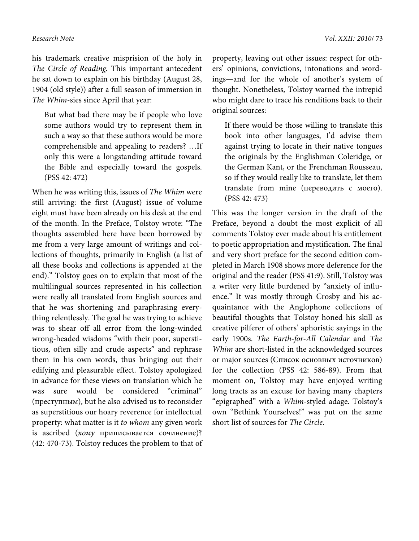his trademark creative misprision of the holy in The Circle of Reading. This important antecedent he sat down to explain on his birthday (August 28, 1904 (old style)) after a full season of immersion in The Whim-sies since April that year:

But what bad there may be if people who love some authors would try to represent them in such a way so that these authors would be more comprehensible and appealing to readers? …If only this were a longstanding attitude toward the Bible and especially toward the gospels. (PSS 42: 472)

When he was writing this, issues of The Whim were still arriving: the first (August) issue of volume eight must have been already on his desk at the end of the month. In the Preface, Tolstoy wrote: "The thoughts assembled here have been borrowed by me from a very large amount of writings and collections of thoughts, primarily in English (a list of all these books and collections is appended at the end)." Tolstoy goes on to explain that most of the multilingual sources represented in his collection were really all translated from English sources and that he was shortening and paraphrasing everything relentlessly. The goal he was trying to achieve was to shear off all error from the long-winded wrong-headed wisdoms "with their poor, superstitious, often silly and crude aspects" and rephrase them in his own words, thus bringing out their edifying and pleasurable effect. Tolstoy apologized in advance for these views on translation which he was sure would be considered "criminal" (преступным), but he also advised us to reconsider as superstitious our hoary reverence for intellectual property: what matter is it to whom any given work is ascribed (кому приписывается сочинение)? (42: 470-73). Tolstoy reduces the problem to that of property, leaving out other issues: respect for others' opinions, convictions, intonations and wordings—and for the whole of another's system of thought. Nonetheless, Tolstoy warned the intrepid who might dare to trace his renditions back to their original sources:

If there would be those willing to translate this book into other languages, I'd advise them against trying to locate in their native tongues the originals by the Englishman Coleridge, or the German Kant, or the Frenchman Rousseau, so if they would really like to translate, let them translate from mine (переводить с моего). (PSS 42: 473)

This was the longer version in the draft of the Preface, beyond a doubt the most explicit of all comments Tolstoy ever made about his entitlement to poetic appropriation and mystification. The final and very short preface for the second edition completed in March 1908 shows more deference for the original and the reader (PSS 41:9). Still, Tolstoy was a writer very little burdened by "anxiety of influence." It was mostly through Crosby and his acquaintance with the Anglophone collections of beautiful thoughts that Tolstoy honed his skill as creative pilferer of others' aphoristic sayings in the early 1900s. The Earth-for-All Calendar and The Whim are short-listed in the acknowledged sources or major sources (Список основных источников) for the collection (PSS 42: 586-89). From that moment on, Tolstoy may have enjoyed writing long tracts as an excuse for having many chapters "epigraphed" with a Whim-styled adage. Tolstoy's own "Bethink Yourselves!" was put on the same short list of sources for The Circle.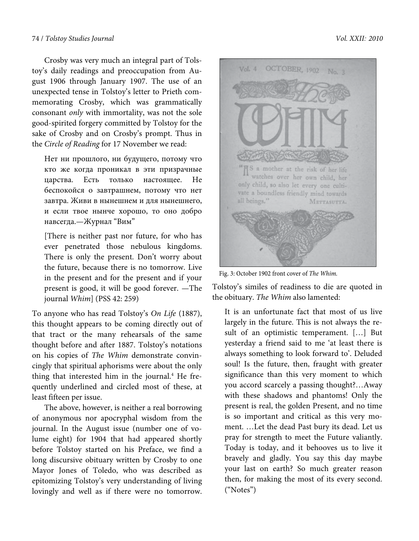#### 74 / Tolstoy Studies Journal Vol. XXII*:* 2010

Crosby was very much an integral part of Tolstoy's daily readings and preoccupation from August 1906 through January 1907. The use of an unexpected tense in Tolstoy's letter to Prieth commemorating Crosby, which was grammatically consonant only with immortality, was not the sole good-spirited forgery committed by Tolstoy for the sake of Crosby and on Crosby's prompt. Thus in the Circle of Reading for 17 November we read:

Нет ни прошлого, ни будущего, потому что кто же когда проникал в эти призрачные царства. Есть только настоящее. Не беспокойся о завтрашнем, потому что нет завтра. Живи в нынешнем и для нынешнего, и если твое нынче хорошо, то оно добро навсегда.—Журнал "Вим"

[There is neither past nor future, for who has ever penetrated those nebulous kingdoms. There is only the present. Don't worry about the future, because there is no tomorrow. Live in the present and for the present and if your present is good, it will be good forever. —The journal Whim] (PSS 42: 259)

To anyone who has read Tolstoy's On Life (1887), this thought appears to be coming directly out of that tract or the many rehearsals of the same thought before and after 1887. Tolstoy's notations on his copies of The Whim demonstrate convincingly that spiritual aphorisms were about the only thing that interested him in the journal.<sup>4</sup> He frequently underlined and circled most of these, at least fifteen per issue.

The above, however, is neither a real borrowing of anonymous nor apocryphal wisdom from the journal. In the August issue (number one of volume eight) for 1904 that had appeared shortly before Tolstoy started on his Preface, we find a long discursive obituary written by Crosby to one Mayor Jones of Toledo, who was described as epitomizing Tolstoy's very understanding of living lovingly and well as if there were no tomorrow.



Fig. 3: October 1902 front cover of *The Whim.* 

Tolstoy's similes of readiness to die are quoted in the obituary. The Whim also lamented:

It is an unfortunate fact that most of us live largely in the future. This is not always the result of an optimistic temperament. […] But yesterday a friend said to me 'at least there is always something to look forward to'. Deluded soul! Is the future, then, fraught with greater significance than this very moment to which you accord scarcely a passing thought?…Away with these shadows and phantoms! Only the present is real, the golden Present, and no time is so important and critical as this very moment. …Let the dead Past bury its dead. Let us pray for strength to meet the Future valiantly. Today is today, and it behooves us to live it bravely and gladly. You say this day maybe your last on earth? So much greater reason then, for making the most of its every second. ("Notes")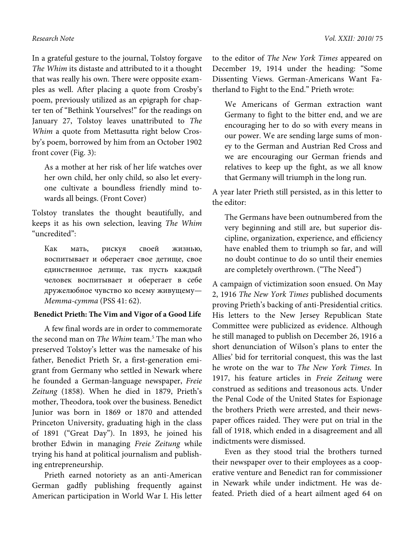In a grateful gesture to the journal, Tolstoy forgave The Whim its distaste and attributed to it a thought that was really his own. There were opposite examples as well. After placing a quote from Crosby's poem, previously utilized as an epigraph for chapter ten of "Bethink Yourselves!" for the readings on January 27, Tolstoy leaves unattributed to The Whim a quote from Mettasutta right below Crosby's poem, borrowed by him from an October 1902 front cover (Fig. 3):

As a mother at her risk of her life watches over her own child, her only child, so also let everyone cultivate a boundless friendly mind towards all beings. (Front Cover)

Tolstoy translates the thought beautifully, and keeps it as his own selection, leaving The Whim "uncredited":

Как мать, рискуя своей жизнью, воспитывает и оберегает свое детище, свое единственное детище, так пусть каждый человек воспитывает и оберегает в себе дружелюбное чувство ко всему живущему— Метта-сутта (PSS 41: 62).

### **Benedict Prieth: The Vim and Vigor of a Good Life**

A few final words are in order to commemorate the second man on The Whim team.<sup>5</sup> The man who preserved Tolstoy's letter was the namesake of his father, Benedict Prieth Sr, a first-generation emigrant from Germany who settled in Newark where he founded a German-language newspaper, Freie Zeitung (1858). When he died in 1879, Prieth's mother, Theodora, took over the business. Benedict Junior was born in 1869 or 1870 and attended Princeton University, graduating high in the class of 1891 ("Great Day"). In 1893, he joined his brother Edwin in managing Freie Zeitung while trying his hand at political journalism and publishing entrepreneurship.

Prieth earned notoriety as an anti-American German gadfly publishing frequently against American participation in World War I. His letter to the editor of The New York Times appeared on December 19, 1914 under the heading: "Some Dissenting Views. German-Americans Want Fatherland to Fight to the End." Prieth wrote:

We Americans of German extraction want Germany to fight to the bitter end, and we are encouraging her to do so with every means in our power. We are sending large sums of money to the German and Austrian Red Cross and we are encouraging our German friends and relatives to keep up the fight, as we all know that Germany will triumph in the long run.

A year later Prieth still persisted, as in this letter to the editor:

The Germans have been outnumbered from the very beginning and still are, but superior discipline, organization, experience, and efficiency have enabled them to triumph so far, and will no doubt continue to do so until their enemies are completely overthrown. ("The Need")

A campaign of victimization soon ensued. On May 2, 1916 The New York Times published documents proving Prieth's backing of anti-Presidential critics. His letters to the New Jersey Republican State Committee were publicized as evidence. Although he still managed to publish on December 26, 1916 a short denunciation of Wilson's plans to enter the Allies' bid for territorial conquest, this was the last he wrote on the war to The New York Times. In 1917, his feature articles in Freie Zeitung were construed as seditions and treasonous acts. Under the Penal Code of the United States for Espionage the brothers Prieth were arrested, and their newspaper offices raided. They were put on trial in the fall of 1918, which ended in a disagreement and all indictments were dismissed.

Even as they stood trial the brothers turned their newspaper over to their employees as a cooperative venture and Benedict ran for commissioner in Newark while under indictment. He was defeated. Prieth died of a heart ailment aged 64 on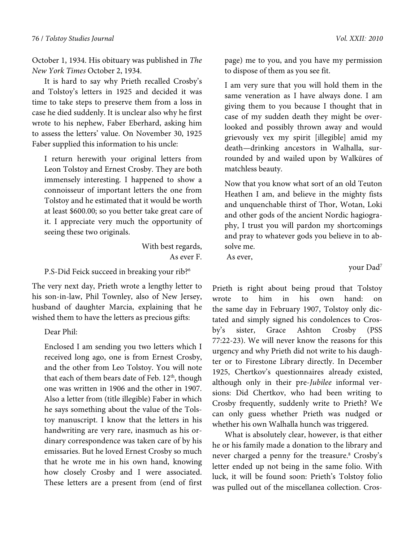October 1, 1934. His obituary was published in The New York Times October 2, 1934.

It is hard to say why Prieth recalled Crosby's and Tolstoy's letters in 1925 and decided it was time to take steps to preserve them from a loss in case he died suddenly. It is unclear also why he first wrote to his nephew, Faber Eberhard, asking him to assess the letters' value. On November 30, 1925 Faber supplied this information to his uncle:

I return herewith your original letters from Leon Tolstoy and Ernest Crosby. They are both immensely interesting. I happened to show a connoisseur of important letters the one from Tolstoy and he estimated that it would be worth at least \$600.00; so you better take great care of it. I appreciate very much the opportunity of seeing these two originals.

> With best regards, As ever F.

### P.S-Did Feick succeed in breaking your rib?<sup>6</sup>

The very next day, Prieth wrote a lengthy letter to his son-in-law, Phil Townley, also of New Jersey, husband of daughter Marcia, explaining that he wished them to have the letters as precious gifts:

Dear Phil:

Enclosed I am sending you two letters which I received long ago, one is from Ernest Crosby, and the other from Leo Tolstoy. You will note that each of them bears date of Feb.  $12<sup>th</sup>$ , though one was written in 1906 and the other in 1907. Also a letter from (title illegible) Faber in which he says something about the value of the Tolstoy manuscript. I know that the letters in his handwriting are very rare, inasmuch as his ordinary correspondence was taken care of by his emissaries. But he loved Ernest Crosby so much that he wrote me in his own hand, knowing how closely Crosby and I were associated. These letters are a present from (end of first page) me to you, and you have my permission to dispose of them as you see fit.

I am very sure that you will hold them in the same veneration as I have always done. I am giving them to you because I thought that in case of my sudden death they might be overlooked and possibly thrown away and would grievously vex my spirit [illegible] amid my death—drinking ancestors in Walhalla, surrounded by and wailed upon by Walküres of matchless beauty.

Now that you know what sort of an old Teuton Heathen I am, and believe in the mighty fists and unquenchable thirst of Thor, Wotan, Loki and other gods of the ancient Nordic hagiography, I trust you will pardon my shortcomings and pray to whatever gods you believe in to absolve me.

As ever,

your Dad7

Prieth is right about being proud that Tolstoy wrote to him in his own hand: on the same day in February 1907, Tolstoy only dictated and simply signed his condolences to Crosby's sister, Grace Ashton Crosby (PSS 77:22-23). We will never know the reasons for this urgency and why Prieth did not write to his daughter or to Firestone Library directly. In December 1925, Chertkov's questionnaires already existed, although only in their pre-Jubilee informal versions: Did Chertkov, who had been writing to Crosby frequently, suddenly write to Prieth? We can only guess whether Prieth was nudged or whether his own Walhalla hunch was triggered.

What is absolutely clear, however, is that either he or his family made a donation to the library and never charged a penny for the treasure.<sup>8</sup> Crosby's letter ended up not being in the same folio. With luck, it will be found soon: Prieth's Tolstoy folio was pulled out of the miscellanea collection. Cros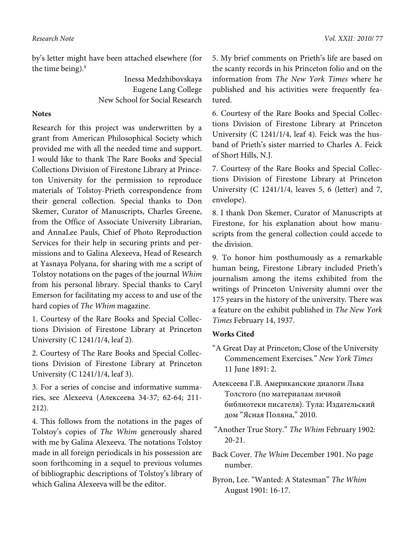by's letter might have been attached elsewhere (for the time being).<sup>9</sup>

> Inessa Medzhibovskaya Eugene Lang College New School for Social Research

# **Notes**

Research for this project was underwritten by a grant from American Philosophical Society which provided me with all the needed time and support. I would like to thank The Rare Books and Special Collections Division of Firestone Library at Princeton University for the permission to reproduce materials of Tolstoy-Prieth correspondence from their general collection. Special thanks to Don Skemer, Curator of Manuscripts, Charles Greene, from the Office of Associate University Librarian, and AnnaLee Pauls, Chief of Photo Reproduction Services for their help in securing prints and permissions and to Galina Alexeeva, Head of Research at Yasnaya Polyana, for sharing with me a script of Tolstoy notations on the pages of the journal Whim from his personal library. Special thanks to Caryl Emerson for facilitating my access to and use of the hard copies of The Whim magazine.

1. Courtesy of the Rare Books and Special Collections Division of Firestone Library at Princeton University (C 1241/1/4, leaf 2).

2. Courtesy of The Rare Books and Special Collections Division of Firestone Library at Princeton University (C 1241/1/4, leaf 3).

3. For a series of concise and informative summaries, see Alexeeva (Алексеева 34-37; 62-64; 211- 212).

4. This follows from the notations in the pages of Tolstoy's copies of The Whim generously shared with me by Galina Alexeeva. The notations Tolstoy made in all foreign periodicals in his possession are soon forthcoming in a sequel to previous volumes of bibliographic descriptions of Tolstoy's library of which Galina Alexeeva will be the editor.

5. My brief comments on Prieth's life are based on the scanty records in his Princeton folio and on the information from The New York Times where he published and his activities were frequently featured.

6. Courtesy of the Rare Books and Special Collections Division of Firestone Library at Princeton University (C 1241/1/4, leaf 4). Feick was the husband of Prieth's sister married to Charles A. Feick of Short Hills, N.J.

7. Courtesy of the Rare Books and Special Collections Division of Firestone Library at Princeton University (C 1241/1/4, leaves 5, 6 (letter) and 7, envelope).

8. I thank Don Skemer, Curator of Manuscripts at Firestone, for his explanation about how manuscripts from the general collection could accede to the division.

9. To honor him posthumously as a remarkable human being, Firestone Library included Prieth's journalism among the items exhibited from the writings of Princeton University alumni over the 175 years in the history of the university. There was a feature on the exhibit published in The New York Times February 14, 1937.

# **Works Cited**

- "A Great Day at Princeton; Close of the University Commencement Exercises." New York Times 11 June 1891: 2.
- Алексеева Г.В. Американские диалоги Льва Толстого (по материалам личной библиотеки писателя). Тула: Издательский дом "Ясная Поляна," 2010.
- "Another True Story." The Whim February 1902: 20-21.
- Back Cover. The Whim December 1901. No page number.
- Byron, Lee. "Wanted: A Statesman" The Whim August 1901: 16-17.